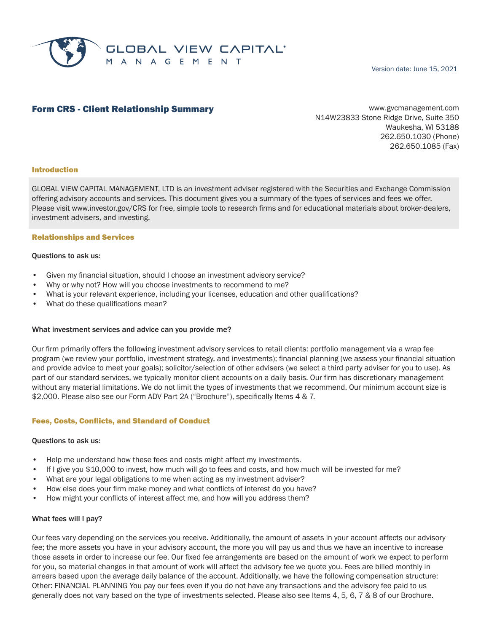

Version date: June 15, 2021

# **Form CRS - Client Relationship Summary Example 20 and Service Communicate Communicate Communicate Communicate Communicate Communicate Communicate Communicate Communicate Communicate Communicate Communicate Communicate C**

N14W23833 Stone Ridge Drive, Suite 350 Waukesha, WI 53188 262.650.1030 (Phone) 262.650.1085 (Fax)

### Introduction

GLOBAL VIEW CAPITAL MANAGEMENT, LTD is an investment adviser registered with the Securities and Exchange Commission offering advisory accounts and services. This document gives you a summary of the types of services and fees we offer. Please visit www.investor.gov/CRS for free, simple tools to research firms and for educational materials about broker-dealers, investment advisers, and investing.

### Relationships and Services

### Questions to ask us:

- Given my financial situation, should I choose an investment advisory service?
- Why or why not? How will you choose investments to recommend to me?
- What is your relevant experience, including your licenses, education and other qualifications?
- What do these qualifications mean?

### What investment services and advice can you provide me?

Our firm primarily offers the following investment advisory services to retail clients: portfolio management via a wrap fee program (we review your portfolio, investment strategy, and investments); financial planning (we assess your financial situation and provide advice to meet your goals); solicitor/selection of other advisers (we select a third party adviser for you to use). As part of our standard services, we typically monitor client accounts on a daily basis. Our firm has discretionary management without any material limitations. We do not limit the types of investments that we recommend. Our minimum account size is \$2,000. Please also see our Form ADV Part 2A ("Brochure"), specifically Items 4 & 7.

### Fees, Costs, Conflicts, and Standard of Conduct

### Questions to ask us:

- Help me understand how these fees and costs might affect my investments.
- If I give you \$10,000 to invest, how much will go to fees and costs, and how much will be invested for me?
- What are your legal obligations to me when acting as my investment adviser?
- How else does your firm make money and what conflicts of interest do you have?
- How might your conflicts of interest affect me, and how will you address them?

### What fees will I pay?

Our fees vary depending on the services you receive. Additionally, the amount of assets in your account affects our advisory fee; the more assets you have in your advisory account, the more you will pay us and thus we have an incentive to increase those assets in order to increase our fee. Our fixed fee arrangements are based on the amount of work we expect to perform for you, so material changes in that amount of work will affect the advisory fee we quote you. Fees are billed monthly in arrears based upon the average daily balance of the account. Additionally, we have the following compensation structure: Other: FINANCIAL PLANNING You pay our fees even if you do not have any transactions and the advisory fee paid to us generally does not vary based on the type of investments selected. Please also see Items 4, 5, 6, 7 & 8 of our Brochure.